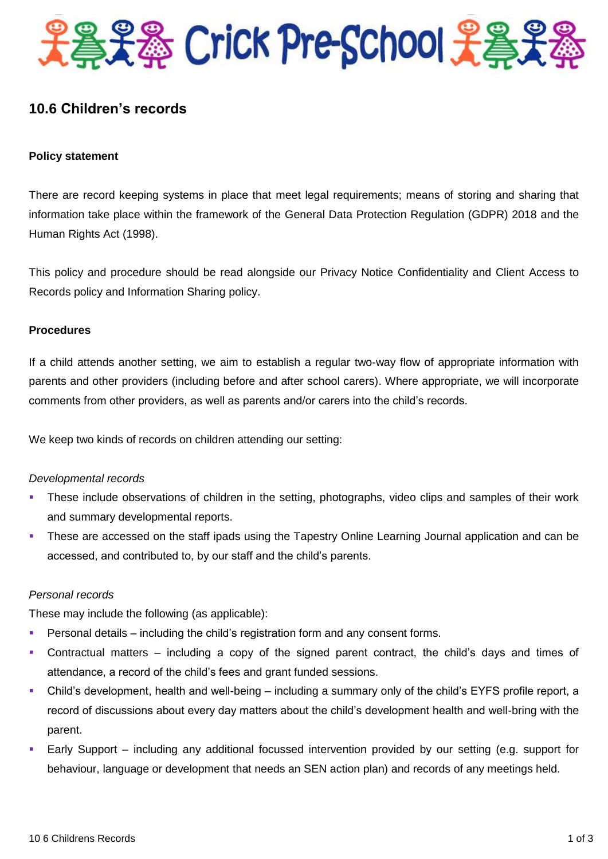

# **10.6 Children's records**

## **Policy statement**

There are record keeping systems in place that meet legal requirements; means of storing and sharing that information take place within the framework of the General Data Protection Regulation (GDPR) 2018 and the Human Rights Act (1998).

This policy and procedure should be read alongside our Privacy Notice Confidentiality and Client Access to Records policy and Information Sharing policy.

### **Procedures**

If a child attends another setting, we aim to establish a regular two-way flow of appropriate information with parents and other providers (including before and after school carers). Where appropriate, we will incorporate comments from other providers, as well as parents and/or carers into the child's records.

We keep two kinds of records on children attending our setting:

### *Developmental records*

- These include observations of children in the setting, photographs, video clips and samples of their work and summary developmental reports.
- These are accessed on the staff ipads using the Tapestry Online Learning Journal application and can be accessed, and contributed to, by our staff and the child's parents.

### *Personal records*

These may include the following (as applicable):

- Personal details including the child's registration form and any consent forms.
- Contractual matters including a copy of the signed parent contract, the child's days and times of attendance, a record of the child's fees and grant funded sessions.
- Child's development, health and well-being including a summary only of the child's EYFS profile report, a record of discussions about every day matters about the child's development health and well-bring with the parent.
- Early Support including any additional focussed intervention provided by our setting (e.g. support for behaviour, language or development that needs an SEN action plan) and records of any meetings held.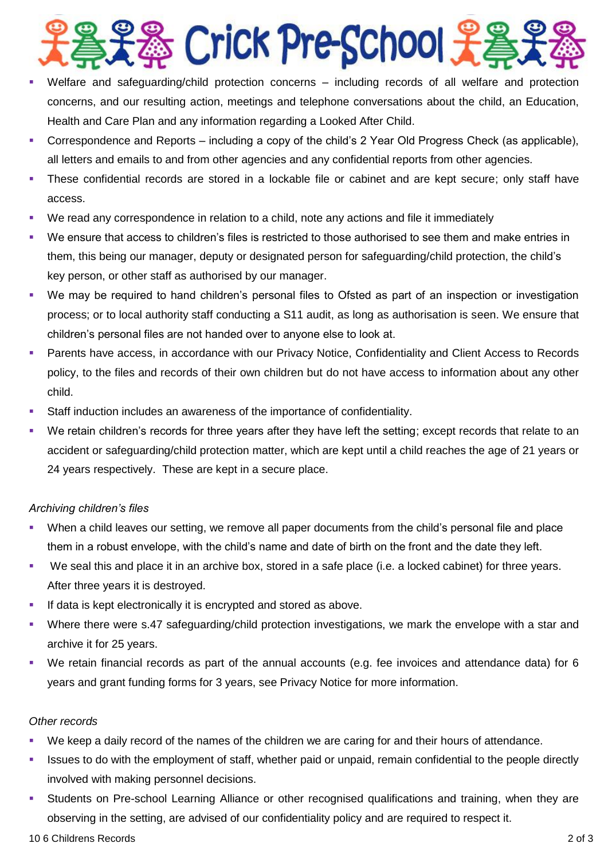# **S** Crick Pre-School

- Welfare and safeguarding/child protection concerns including records of all welfare and protection concerns, and our resulting action, meetings and telephone conversations about the child, an Education, Health and Care Plan and any information regarding a Looked After Child.
- Correspondence and Reports including a copy of the child's 2 Year Old Progress Check (as applicable), all letters and emails to and from other agencies and any confidential reports from other agencies.
- These confidential records are stored in a lockable file or cabinet and are kept secure; only staff have access.
- We read any correspondence in relation to a child, note any actions and file it immediately
- We ensure that access to children's files is restricted to those authorised to see them and make entries in them, this being our manager, deputy or designated person for safeguarding/child protection, the child's key person, or other staff as authorised by our manager.
- We may be required to hand children's personal files to Ofsted as part of an inspection or investigation process; or to local authority staff conducting a S11 audit, as long as authorisation is seen. We ensure that children's personal files are not handed over to anyone else to look at.
- Parents have access, in accordance with our Privacy Notice, Confidentiality and Client Access to Records policy, to the files and records of their own children but do not have access to information about any other child.
- Staff induction includes an awareness of the importance of confidentiality.
- We retain children's records for three years after they have left the setting; except records that relate to an accident or safeguarding/child protection matter, which are kept until a child reaches the age of 21 years or 24 years respectively. These are kept in a secure place.

# *Archiving children's files*

- When a child leaves our setting, we remove all paper documents from the child's personal file and place them in a robust envelope, with the child's name and date of birth on the front and the date they left.
- We seal this and place it in an archive box, stored in a safe place (i.e. a locked cabinet) for three years. After three years it is destroyed.
- If data is kept electronically it is encrypted and stored as above.
- Where there were s.47 safeguarding/child protection investigations, we mark the envelope with a star and archive it for 25 years.
- We retain financial records as part of the annual accounts (e.g. fee invoices and attendance data) for 6 years and grant funding forms for 3 years, see Privacy Notice for more information.

# *Other records*

- We keep a daily record of the names of the children we are caring for and their hours of attendance.
- Issues to do with the employment of staff, whether paid or unpaid, remain confidential to the people directly involved with making personnel decisions.
- Students on Pre-school Learning Alliance or other recognised qualifications and training, when they are observing in the setting, are advised of our confidentiality policy and are required to respect it.

### 10 6 Childrens Records 2 of 3